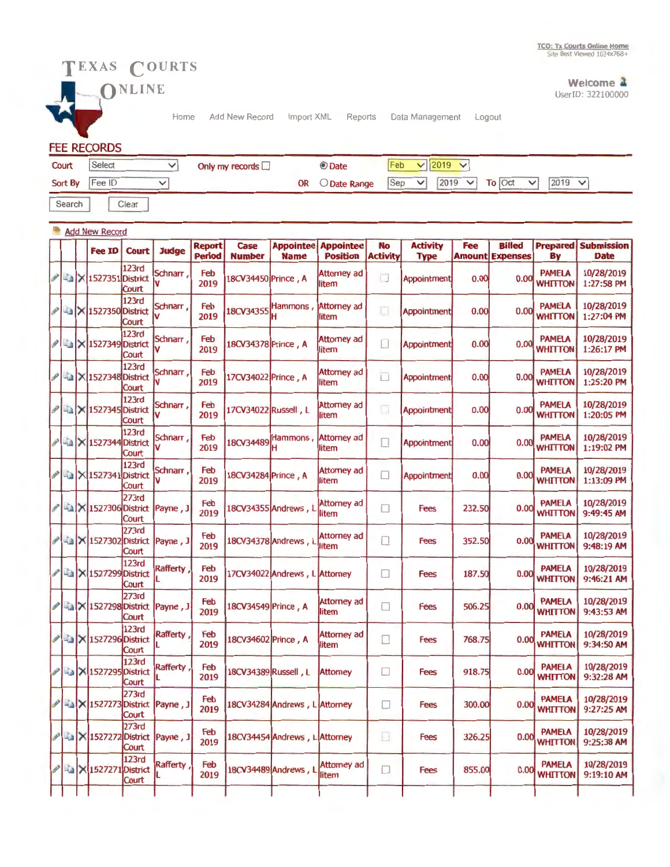PAMELA 10/28/2019<br>WHITTON 9:32:28 AM 0.00 WHITTON 9:32:28 AM

PAMELA 10/28/2019<br>WHITTON 9:27:25 AM 0.00 WHITTON 9:27:25 AM

PAMELA 10/28/2019<br>WHITTON 9:25:38 AM 0.00 WHITTON 9:25:38 AM

PAMELA 10/28/2019 0.00 WHITTON 9:19:10 AM



123rd  $\begin{array}{c|c|c}\n\hline\n & \times & \text{1527295} \text{District} & \text{Rafferty} \\
\hline\n & \text{Court} & \text{L} & \text{2019}\n\end{array}$ 

273rd<br>2737273 District Payne, J

**Court** 273rd

Court<br>123rd

**Court** 

"

 $\frac{1}{015}$ 

**X** 1527272 District Payne , J Feb 18CV34454 Andrews , L Attorney

 $\frac{12370}{\text{N}}$  1527271 District Rafferty  $\frac{12370}{\text{2019}}$  18CV34489 Andrews, L litem



Welcome 2 UserID: 322100000

Home Add New Record Import XML Reports Data Management Logout

Fees 918.75

 $\Box$ 

 $\Box$ 

o

 $\Box$ 

Fees 300.00

Fees 326.25

Fees 855.00

## FEE RECORDS

| Court          | Select | Only my records $\Box$ | <b>O</b> Date   | Feb          | $\vee$ 2019 $\vee$                  |  |  |
|----------------|--------|------------------------|-----------------|--------------|-------------------------------------|--|--|
| Sort By Fee ID |        |                        | OR O Date Range | $ Sep \vee $ | $2019$ $\sqrt{ }$ To Oct $\sqrt{ }$ |  |  |
| Search         | Clear  |                        |                 |              |                                     |  |  |

|                        |  | <b>Add New Record</b>        |                       |               |                                |                       |                                 |                                     |                              |                                |        |                                         |                                 |                                  |
|------------------------|--|------------------------------|-----------------------|---------------|--------------------------------|-----------------------|---------------------------------|-------------------------------------|------------------------------|--------------------------------|--------|-----------------------------------------|---------------------------------|----------------------------------|
|                        |  | <b>Fee ID</b>                | <b>Court</b>          | <b>Judge</b>  | <b>Report</b><br><b>Period</b> | Case<br><b>Number</b> | <b>Appointee</b><br><b>Name</b> | <b>Appointee</b><br><b>Position</b> | <b>No</b><br><b>Activity</b> | <b>Activity</b><br><b>Type</b> | Fee    | <b>Billed</b><br><b>Amount Expenses</b> | <b>Prepared</b><br>By           | <b>Submission</b><br><b>Date</b> |
|                        |  | X 1527351 District           | 123rd<br>Court        | Schnarr,      | Feb<br>2019                    | 18CV34450 Prince, A   |                                 | <b>Attorney ad</b><br>litem         | $\Box$                       | Appointment                    | 0.00   | 0.00                                    | <b>PAMELA</b><br><b>WHITTON</b> | 10/28/2019<br>1:27:58 PM         |
| P                      |  | <b>A</b> X 1527350 District  | 123rd<br>Court        | Schnarr<br>V  | Feb<br>2019                    |                       | 18CV34355 Hammons,              | <b>Attorney ad</b><br>litem         | а                            | <b>Appointment</b>             | 0.00   | 0.00                                    | <b>PAMELA</b><br>WHITTON        | 10/28/2019<br>1:27:04 PM         |
|                        |  | -a X 1527349 District        | 123rd<br>Court        | Schnarr<br>V  | Feb<br>2019                    | 18CV34378 Prince, A   |                                 | Attorney ad<br>litem                |                              | Appointment                    | 0.00   | 0.00                                    | <b>PAMELA</b><br><b>WHITTON</b> | 10/28/2019<br>1:26:17 PM         |
| $\boldsymbol{\psi}$    |  | <b>Ea</b> X 1527348 District | 123rd<br>Court        | Schnarr,<br>V | Feb<br>2019                    | 17CV34022 Prince, A   |                                 | <b>Attorney ad</b><br>litem         | E.                           | Appointment                    | 0.00   | 0.00                                    | <b>PAMELA</b><br><b>WHITTON</b> | 10/28/2019<br>1:25:20 PM         |
| $\boldsymbol{\varphi}$ |  | <b>Az X 1527345</b> District | 123rd<br>Court        | Schnarr<br>v  | Feb<br>2019                    | 17CV34022 Russell, L  |                                 | <b>Attomey ad</b><br>litem          | $\Box$                       | <b>Appointment</b>             | 0.00   | 0.00                                    | <b>PAMELA</b><br><b>WHITTON</b> | 10/28/2019<br>1:20:05 PM         |
|                        |  | <b>Az X 1527344 District</b> | 123rd<br><b>Court</b> | Schnarr,<br>V | Feb<br>2019                    | 18CV34489             | Hammons,                        | <b>Attomey ad</b><br>llitem         |                              | Appointment                    | 0.00   | 0.00                                    | <b>PAMELA</b><br><b>WHITTON</b> | 10/28/2019<br>1:19:02 PM         |
| P                      |  | La   X 1527341 District      | 123rd<br>Court        | Schnarr,<br>V | Feb<br>2019                    | 18CV34284 Prince, A   |                                 | <b>Attorney ad</b><br>litem         | П                            | <b>Appointment</b>             | 0.00   | 0.00                                    | <b>PAMELA</b><br><b>WHITTON</b> | 10/28/2019<br>1:13:09 PM         |
| P                      |  | La   × 1527306 District      | 273rd<br>Court        | Payne, J      | Feb<br>2019                    |                       | 18CV34355 Andrews, l            | <b>Attorney ad</b><br>litem         | П                            | <b>Fees</b>                    | 232.50 | 0.00                                    | <b>PAMELA</b><br><b>WHITTON</b> | 10/28/2019<br>9:49:45 AM         |
| P                      |  | X 1527302 District           | 273rd<br>Court        | Payne, J      | Feb<br>2019                    |                       | 18CV34378 Andrews, I            | <b>Attorney ad</b><br>litem         |                              | <b>Fees</b>                    | 352.50 | 0.00                                    | <b>PAMELA</b><br><b>WHITTON</b> | 10/28/2019<br>9:48:19 AM         |
| P                      |  | La   X 1527299 District      | 123rd<br>Court        | Rafferty      | Feb<br>2019                    |                       | 17CV34022 Andrews, L Attorney   |                                     | Е                            | <b>Fees</b>                    | 187.50 | 0.00                                    | <b>PAMELA</b><br><b>WHITTON</b> | 10/28/2019<br>9:46:21 AM         |
| P                      |  | <b>La X 1527298 District</b> | 273rd<br>Court        | Payne, J      | Feb<br>2019                    | 18CV34549 Prince, A   |                                 | <b>Attorney ad</b><br>litem         | □                            | <b>Fees</b>                    | 506.25 | 0.00                                    | <b>PAMELA</b><br><b>WHITTON</b> | 10/28/2019<br>9:43:53 AM         |
| P                      |  | <b>As X 1527296</b> District | 123rd<br>Court        | Rafferty      | Feb<br>2019                    | 18CV34602 Prince, A   |                                 | <b>Attorney ad</b><br>litem         | Г                            | Fees                           | 768.75 | 0.00                                    | <b>PAMELA</b><br><b>WHITTON</b> | 10/28/2019<br>9:34:50 AM         |

18CV34389 Russell, L Attorney

Feb. 18CV34284 Andrews, L Attorney